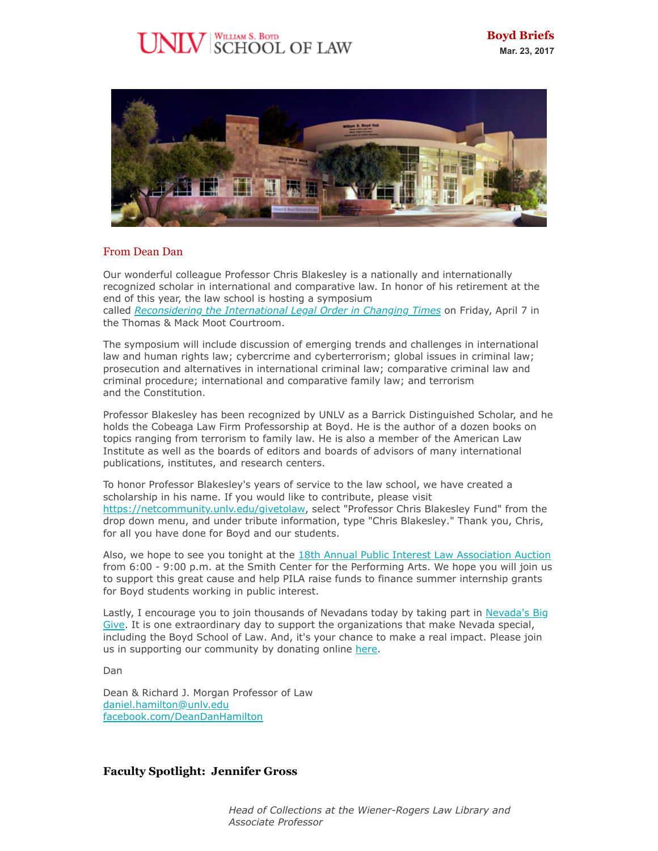# $\mathrm{[W]}$  SCHOOL OF LAW



# From Dean Dan

Our wonderful colleague Professor Chris Blakesley is a nationally and internationally recognized scholar in international and comparative law. In honor of his retirement at the end of this year, the law school is hosting a symposium called *[Reconsidering the International Legal Order in Changing Times](https://www.eventbrite.com/e/reconsidering-the-international-legal-order-in-changing-times-tickets-32923756843)* on Friday, April 7 in the Thomas & Mack Moot Courtroom.

The symposium will include discussion of emerging trends and challenges in international law and human rights law; cybercrime and cyberterrorism; global issues in criminal law; prosecution and alternatives in international criminal law; comparative criminal law and criminal procedure; international and comparative family law; and terrorism and the Constitution.

Professor Blakesley has been recognized by UNLV as a Barrick Distinguished Scholar, and he holds the Cobeaga Law Firm Professorship at Boyd. He is the author of a dozen books on topics ranging from terrorism to family law. He is also a member of the American Law Institute as well as the boards of editors and boards of advisors of many international publications, institutes, and research centers.

To honor Professor Blakesley's years of service to the law school, we have created a scholarship in his name. If you would like to contribute, please visit <https://netcommunity.unlv.edu/givetolaw>, select "Professor Chris Blakesley Fund" from the drop down menu, and under tribute information, type "Chris Blakesley." Thank you, Chris, for all you have done for Boyd and our students.

Also, we hope to see you tonight at the [18th Annual Public Interest Law Association Auction](https://law.unlv.edu/student-organization/pila) from 6:00 - 9:00 p.m. at the Smith Center for the Performing Arts. We hope you will join us to support this great cause and help PILA raise funds to finance summer internship grants for Boyd students working in public interest.

[Lastly, I encourage you to join thousands of Nevadans today by taking part in Nevada's Big](https://nvbiggive.razoo.com/giving_events/nv17/home/) Give. It is one extraordinary day to support the organizations that make Nevada special, including the Boyd School of Law. And, it's your chance to make a real impact. Please join us in supporting our community by donating online [here](https://nvbiggive.razoo.com/story/Xtilyf).

Dan

Dean & Richard J. Morgan Professor of Law [daniel.hamilton@unlv.edu](mailto:daniel.hamilton@unlv.edu) [facebook.com/DeanDanHamilton](http://r20.rs6.net/tn.jsp?f=001hu6mZ-r4pwInu2hXt_dE7ApMwbikuYJ_EQ1JSN_GURWFIVixJ8yWy5r6Zc8eSaTmmatdQfrMcfV8mDiFfoNRUz_xfJ4rwta_Xjr1nuAxckUnnkltOEaaNiCq6oFky5WvHQKWEGiWulykky9qPjBefBFq72KKxotg3FZp90DxVVI=&c=37ZOQu8EN2kmBxeBh2U4w3n3KMNz621K7LBJg4YdHjXn8iD7XOh5dg==&ch=U69Q1DVoTBxd_SaQRq9PiMJhvuW-8ywHRfeXTxj6d2aZHbrnRIRYGg==)

# **Faculty Spotlight: Jennifer Gross**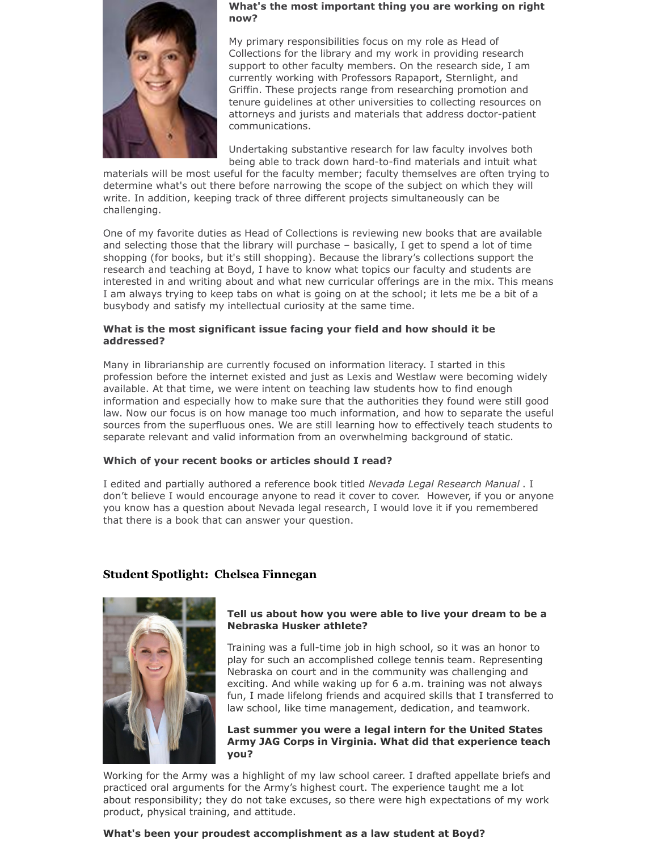

#### **What's the most important thing you are working on right now?**

My primary responsibilities focus on my role as Head of Collections for the library and my work in providing research support to other faculty members. On the research side, I am currently working with Professors Rapaport, Sternlight, and Griffin. These projects range from researching promotion and tenure guidelines at other universities to collecting resources on attorneys and jurists and materials that address doctor-patient communications.

Undertaking substantive research for law faculty involves both being able to track down hard-to-find materials and intuit what

materials will be most useful for the faculty member; faculty themselves are often trying to determine what's out there before narrowing the scope of the subject on which they will write. In addition, keeping track of three different projects simultaneously can be challenging.

One of my favorite duties as Head of Collections is reviewing new books that are available and selecting those that the library will purchase – basically, I get to spend a lot of time shopping (for books, but it's still shopping). Because the library's collections support the research and teaching at Boyd, I have to know what topics our faculty and students are interested in and writing about and what new curricular offerings are in the mix. This means I am always trying to keep tabs on what is going on at the school; it lets me be a bit of a busybody and satisfy my intellectual curiosity at the same time.

# **What is the most significant issue facing your field and how should it be addressed?**

Many in librarianship are currently focused on information literacy. I started in this profession before the internet existed and just as Lexis and Westlaw were becoming widely available. At that time, we were intent on teaching law students how to find enough information and especially how to make sure that the authorities they found were still good law. Now our focus is on how manage too much information, and how to separate the useful sources from the superfluous ones. We are still learning how to effectively teach students to separate relevant and valid information from an overwhelming background of static.

# **Which of your recent books or articles should I read?**

I edited and partially authored a reference book titled *Nevada Legal Research Manual* . I don't believe I would encourage anyone to read it cover to cover. However, if you or anyone you know has a question about Nevada legal research, I would love it if you remembered that there is a book that can answer your question.

# **Student Spotlight: Chelsea Finnegan**



# **Tell us about how you were able to live your dream to be a Nebraska Husker athlete?**

Training was a full-time job in high school, so it was an honor to play for such an accomplished college tennis team. Representing Nebraska on court and in the community was challenging and exciting. And while waking up for 6 a.m. training was not always fun, I made lifelong friends and acquired skills that I transferred to law school, like time management, dedication, and teamwork.

**Last summer you were a legal intern for the United States Army JAG Corps in Virginia. What did that experience teach you?**

Working for the Army was a highlight of my law school career. I drafted appellate briefs and practiced oral arguments for the Army's highest court. The experience taught me a lot about responsibility; they do not take excuses, so there were high expectations of my work product, physical training, and attitude.

# **What's been your proudest accomplishment as a law student at Boyd?**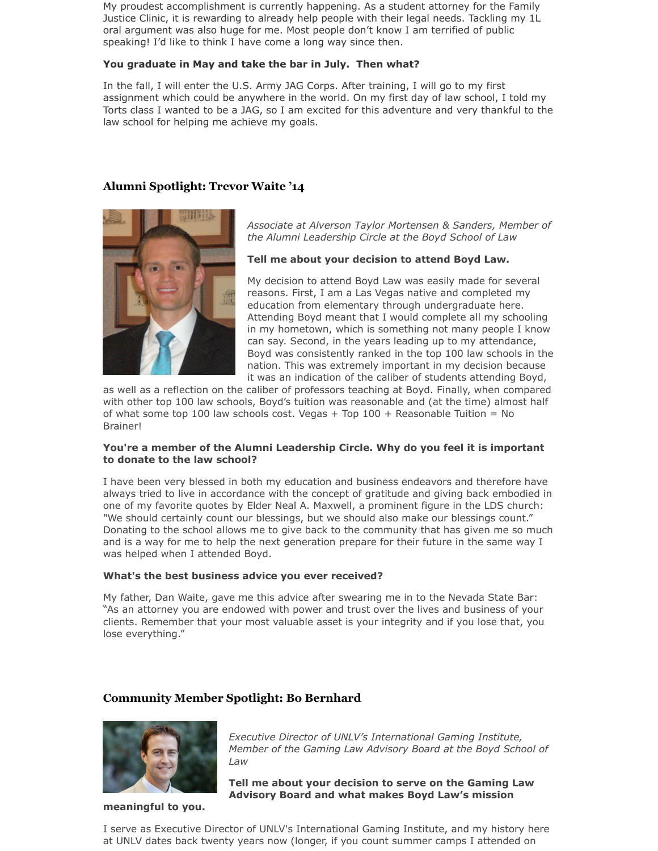My proudest accomplishment is currently happening. As a student attorney for the Family Justice Clinic, it is rewarding to already help people with their legal needs. Tackling my 1L oral argument was also huge for me. Most people don't know I am terrified of public speaking! I'd like to think I have come a long way since then.

## **You graduate in May and take the bar in July. Then what?**

In the fall, I will enter the U.S. Army JAG Corps. After training, I will go to my first assignment which could be anywhere in the world. On my first day of law school, I told my Torts class I wanted to be a JAG, so I am excited for this adventure and very thankful to the law school for helping me achieve my goals.

# **Alumni Spotlight: Trevor Waite '14**



*Associate at Alverson Taylor Mortensen & Sanders, Member of the Alumni Leadership Circle at the Boyd School of Law*

#### **Tell me about your decision to attend Boyd Law.**

My decision to attend Boyd Law was easily made for several reasons. First, I am a Las Vegas native and completed my education from elementary through undergraduate here. Attending Boyd meant that I would complete all my schooling in my hometown, which is something not many people I know can say. Second, in the years leading up to my attendance, Boyd was consistently ranked in the top 100 law schools in the nation. This was extremely important in my decision because it was an indication of the caliber of students attending Boyd,

as well as a reflection on the caliber of professors teaching at Boyd. Finally, when compared with other top 100 law schools, Boyd's tuition was reasonable and (at the time) almost half of what some top 100 law schools cost. Vegas  $+$  Top 100  $+$  Reasonable Tuition = No Brainer!

## **You're a member of the Alumni Leadership Circle. Why do you feel it is important to donate to the law school?**

I have been very blessed in both my education and business endeavors and therefore have always tried to live in accordance with the concept of gratitude and giving back embodied in one of my favorite quotes by Elder Neal A. Maxwell, a prominent figure in the LDS church: "We should certainly count our blessings, but we should also make our blessings count." Donating to the school allows me to give back to the community that has given me so much and is a way for me to help the next generation prepare for their future in the same way I was helped when I attended Boyd.

#### **What's the best business advice you ever received?**

My father, Dan Waite, gave me this advice after swearing me in to the Nevada State Bar: "As an attorney you are endowed with power and trust over the lives and business of your clients. Remember that your most valuable asset is your integrity and if you lose that, you lose everything."

# **Community Member Spotlight: Bo Bernhard**



**meaningful to you.**

*Executive Director of UNLV's International Gaming Institute, Member of the Gaming Law Advisory Board at the Boyd School of Law*

**Tell me about your decision to serve on the Gaming Law Advisory Board and what makes Boyd Law's mission**

I serve as Executive Director of UNLV's International Gaming Institute, and my history here at UNLV dates back twenty years now (longer, if you count summer camps I attended on